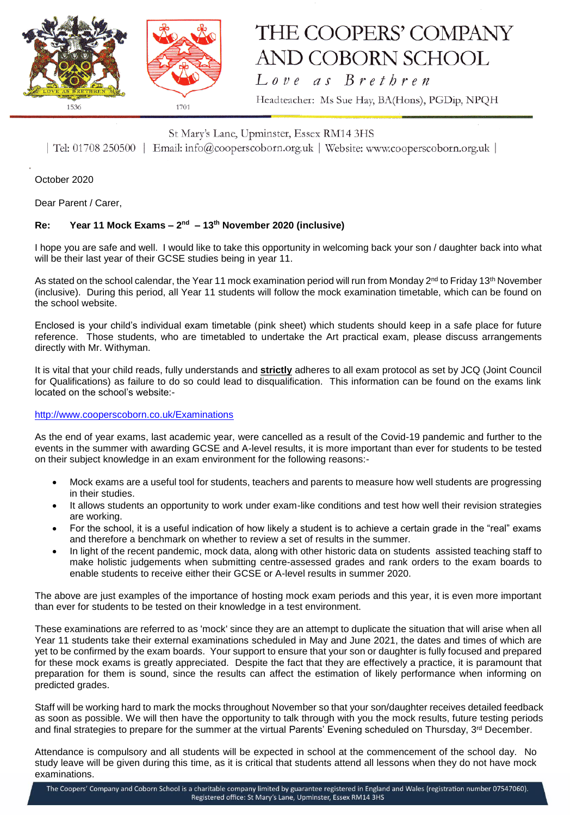

# THE COOPERS' COMPANY AND COBORN SCHOOL Love as Brethren

Headteacher: Ms Sue Hay, BA(Hons), PGDip, NPQH

### St Mary's Lane, Upminster, Essex RM14 3HS

| Tel: 01708 250500 | Email: info@cooperscoborn.org.uk | Website: www.cooperscoborn.org.uk |

October 2020

Dear Parent / Carer,

### **Re: Year 11 Mock Exams – 2 nd – 13th November 2020 (inclusive)**

I hope you are safe and well. I would like to take this opportunity in welcoming back your son / daughter back into what will be their last year of their GCSE studies being in year 11.

As stated on the school calendar, the Year 11 mock examination period will run from Monday 2<sup>nd</sup> to Friday 13<sup>th</sup> November (inclusive). During this period, all Year 11 students will follow the mock examination timetable, which can be found on the school website.

Enclosed is your child's individual exam timetable (pink sheet) which students should keep in a safe place for future reference. Those students, who are timetabled to undertake the Art practical exam, please discuss arrangements directly with Mr. Withyman.

It is vital that your child reads, fully understands and **strictly** adheres to all exam protocol as set by JCQ (Joint Council for Qualifications) as failure to do so could lead to disqualification. This information can be found on the exams link located on the school's website:-

#### <http://www.cooperscoborn.co.uk/Examinations>

As the end of year exams, last academic year, were cancelled as a result of the Covid-19 pandemic and further to the events in the summer with awarding GCSE and A-level results, it is more important than ever for students to be tested on their subject knowledge in an exam environment for the following reasons:-

- Mock exams are a useful tool for students, teachers and parents to measure how well students are progressing in their studies.
- It allows students an opportunity to work under exam-like conditions and test how well their revision strategies are working.
- For the school, it is a useful indication of how likely a student is to achieve a certain grade in the "real" exams and therefore a benchmark on whether to review a set of results in the summer.
- In light of the recent pandemic, mock data, along with other historic data on students assisted teaching staff to make holistic judgements when submitting centre-assessed grades and rank orders to the exam boards to enable students to receive either their GCSE or A-level results in summer 2020.

The above are just examples of the importance of hosting mock exam periods and this year, it is even more important than ever for students to be tested on their knowledge in a test environment.

These examinations are referred to as 'mock' since they are an attempt to duplicate the situation that will arise when all Year 11 students take their external examinations scheduled in May and June 2021, the dates and times of which are yet to be confirmed by the exam boards. Your support to ensure that your son or daughter is fully focused and prepared for these mock exams is greatly appreciated. Despite the fact that they are effectively a practice, it is paramount that preparation for them is sound, since the results can affect the estimation of likely performance when informing on predicted grades.

Staff will be working hard to mark the mocks throughout November so that your son/daughter receives detailed feedback as soon as possible. We will then have the opportunity to talk through with you the mock results, future testing periods and final strategies to prepare for the summer at the virtual Parents' Evening scheduled on Thursday, 3rd December.

Attendance is compulsory and all students will be expected in school at the commencement of the school day. No study leave will be given during this time, as it is critical that students attend all lessons when they do not have mock examinations.